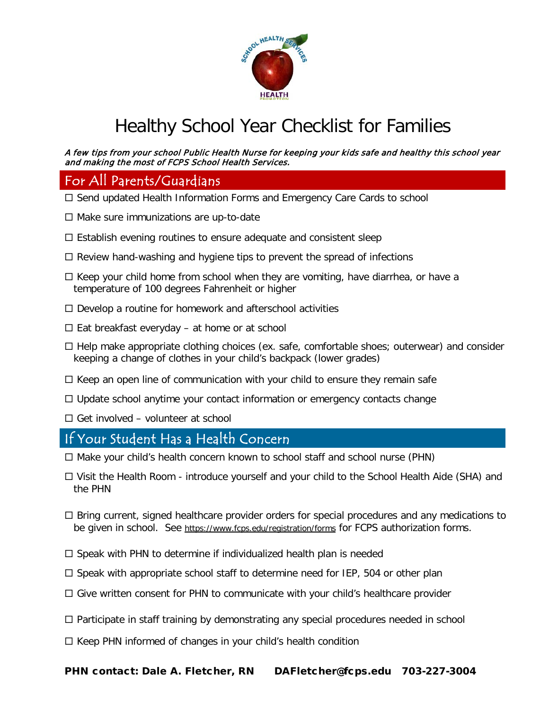

## Healthy School Year Checklist for Families

## A few tips from your school Public Health Nurse for keeping your kids safe and healthy this school year and making the most of FCPS School Health Services.

## For All Parents/Guardians

- □ Send updated Health Information Forms and Emergency Care Cards to school
- $\Box$  Make sure immunizations are up-to-date
- $\Box$  Establish evening routines to ensure adequate and consistent sleep
- $\Box$  Review hand-washing and hygiene tips to prevent the spread of infections
- $\Box$  Keep your child home from school when they are vomiting, have diarrhea, or have a temperature of 100 degrees Fahrenheit or higher
- $\Box$  Develop a routine for homework and afterschool activities
- $\Box$  Eat breakfast everyday at home or at school
- $\Box$  Help make appropriate clothing choices (ex. safe, comfortable shoes; outerwear) and consider keeping a change of clothes in your child's backpack (lower grades)
- $\Box$  Keep an open line of communication with your child to ensure they remain safe
- $\Box$  Update school anytime your contact information or emergency contacts change
- $\Box$  Get involved volunteer at school

## If Your Student Has a Health Concern

- $\Box$  Make your child's health concern known to school staff and school nurse (PHN)
- Visit the Health Room introduce yourself and your child to the School Health Aide (SHA) and the PHN
- $\Box$  Bring current, signed healthcare provider orders for special procedures and any medications to be given in school. See<https://www.fcps.edu/registration/forms> for FCPS authorization forms.
- $\Box$  Speak with PHN to determine if individualized health plan is needed
- $\square$  Speak with appropriate school staff to determine need for IEP, 504 or other plan
- $\Box$  Give written consent for PHN to communicate with your child's healthcare provider
- $\Box$  Participate in staff training by demonstrating any special procedures needed in school
- $\Box$  Keep PHN informed of changes in your child's health condition